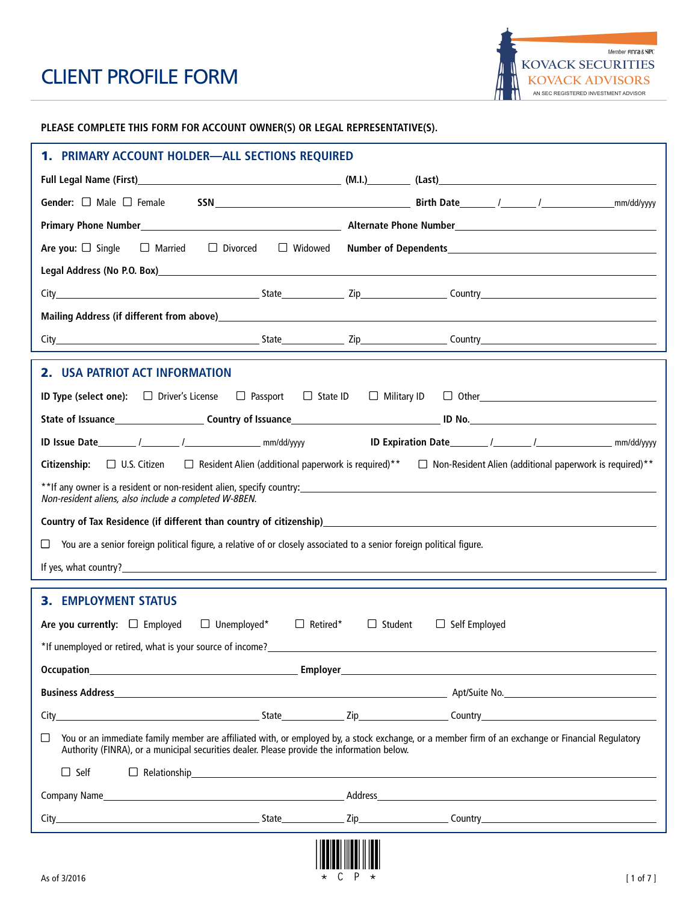**PLEASE COMPLETE THIS FORM FOR ACCOUNT OWNER(S) OR LEGAL REPRESENTATIVE(S).** 

| 1. PRIMARY ACCOUNT HOLDER-ALL SECTIONS REQUIRED                                                                                                                                                                                                          |                |                      |  |  |
|----------------------------------------------------------------------------------------------------------------------------------------------------------------------------------------------------------------------------------------------------------|----------------|----------------------|--|--|
|                                                                                                                                                                                                                                                          |                |                      |  |  |
|                                                                                                                                                                                                                                                          |                |                      |  |  |
|                                                                                                                                                                                                                                                          |                |                      |  |  |
| $\Box$ Divorced $\Box$ Widowed<br>Are you: $\Box$ Single<br>$\Box$ Married                                                                                                                                                                               |                |                      |  |  |
|                                                                                                                                                                                                                                                          |                |                      |  |  |
| City City Country City Country Country Country Country Country Country Country Country Country Country Country Country Country Country Country Country Country Country Country Country Country Country Country Country Country                           |                |                      |  |  |
|                                                                                                                                                                                                                                                          |                |                      |  |  |
|                                                                                                                                                                                                                                                          |                |                      |  |  |
|                                                                                                                                                                                                                                                          |                |                      |  |  |
| 2. USA PATRIOT ACT INFORMATION                                                                                                                                                                                                                           |                |                      |  |  |
| ID Type (select one): □ Driver's License □ Passport □ State ID □ Military ID □ Other_________________________________                                                                                                                                    |                |                      |  |  |
|                                                                                                                                                                                                                                                          |                |                      |  |  |
|                                                                                                                                                                                                                                                          |                |                      |  |  |
| Citizenship: $\Box$ U.S. Citizen $\Box$ Resident Alien (additional paperwork is required)** $\Box$ Non-Resident Alien (additional paperwork is required)**                                                                                               |                |                      |  |  |
| Non-resident aliens, also include a completed W-8BEN.                                                                                                                                                                                                    |                |                      |  |  |
| Country of Tax Residence (if different than country of citizenship)<br>and the control of the control of Tax Residence (if different than country of citizenship)<br>and the control of the control of the control of the control                        |                |                      |  |  |
| You are a senior foreign political figure, a relative of or closely associated to a senior foreign political figure.<br>$\Box$                                                                                                                           |                |                      |  |  |
|                                                                                                                                                                                                                                                          |                |                      |  |  |
| <b>3. EMPLOYMENT STATUS</b>                                                                                                                                                                                                                              |                |                      |  |  |
| Are you currently: $\Box$ Employed<br>$\Box$ Retired*                                                                                                                                                                                                    | $\Box$ Student |                      |  |  |
| $\Box$ Unemployed*<br>*If unemploved or retired, what is your source of income?                                                                                                                                                                          |                | $\Box$ Self Employed |  |  |
|                                                                                                                                                                                                                                                          |                |                      |  |  |
|                                                                                                                                                                                                                                                          |                |                      |  |  |
|                                                                                                                                                                                                                                                          |                |                      |  |  |
|                                                                                                                                                                                                                                                          |                |                      |  |  |
| You or an immediate family member are affiliated with, or employed by, a stock exchange, or a member firm of an exchange or Financial Regulatory<br>$\Box$<br>Authority (FINRA), or a municipal securities dealer. Please provide the information below. |                |                      |  |  |
| $\Box$ Self<br>$\Box \ \ \text{Relationship} \ \ \textcolor{red}{\Box \ \ \text{Relationship}}$                                                                                                                                                          |                |                      |  |  |
| Company Name <b>Example 2018</b> Company Name <b>Company Name and Company Name and Company Name and Company Name and Company Name and Company Name and Company Name and Company of the Company Name and Company of the Company of the</b>                |                |                      |  |  |
|                                                                                                                                                                                                                                                          |                |                      |  |  |
|                                                                                                                                                                                                                                                          |                |                      |  |  |
|                                                                                                                                                                                                                                                          |                |                      |  |  |
| C<br>As of 3/2016                                                                                                                                                                                                                                        |                | $[1 \text{ of } 7]$  |  |  |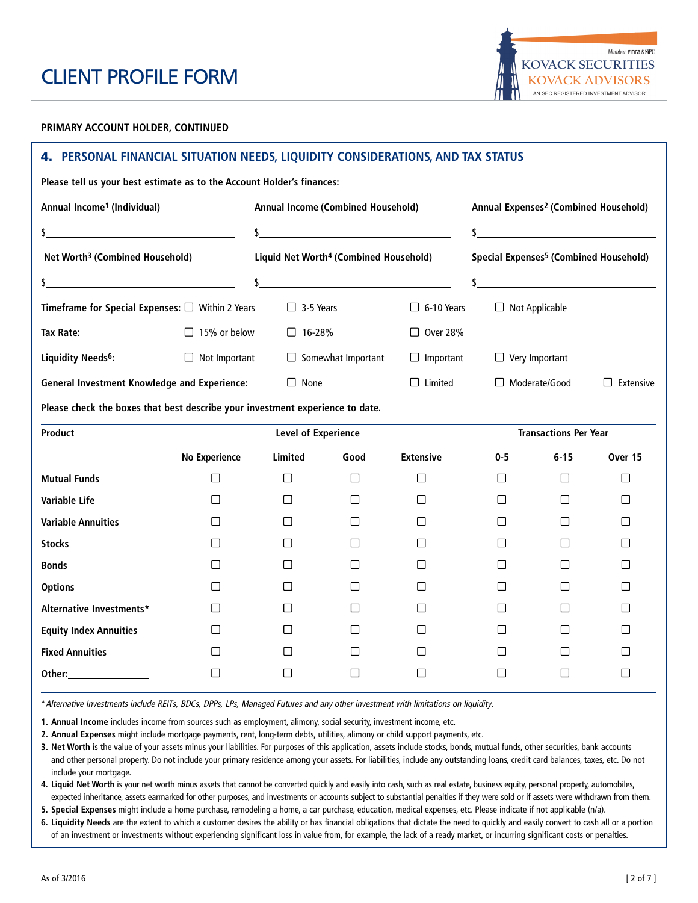

#### **PRIMARY ACCOUNT HOLDER, CONTINUED**

## **4. PERSONAL FINANCIAL SITUATION NEEDS, LIQUIDITY CONSIDERATIONS, AND TAX STATUS**

**Please tell us your best estimate as to the Account Holder's finances:**

| Annual Income <sup>1</sup> (Individual)                                                                                                                                                                                       |                                                                                                                      | Annual Income (Combined Household) |                                                    |                   | Annual Expenses <sup>2</sup> (Combined Household)  |                              |                                                                     |  |
|-------------------------------------------------------------------------------------------------------------------------------------------------------------------------------------------------------------------------------|----------------------------------------------------------------------------------------------------------------------|------------------------------------|----------------------------------------------------|-------------------|----------------------------------------------------|------------------------------|---------------------------------------------------------------------|--|
| \$_                                                                                                                                                                                                                           | <u> 1989 - Andrea Station Barbara, amerikan per</u>                                                                  |                                    |                                                    |                   |                                                    |                              |                                                                     |  |
| Net Worth <sup>3</sup> (Combined Household)                                                                                                                                                                                   |                                                                                                                      |                                    | Liquid Net Worth <sup>4</sup> (Combined Household) |                   | Special Expenses <sup>5</sup> (Combined Household) |                              |                                                                     |  |
| \$.                                                                                                                                                                                                                           | <u> 1989 - Johann Barn, mars ann an t-Amhain Aonaich an t-Aonaich an t-Aonaich ann an t-Aonaich ann an t-Aonaich</u> |                                    |                                                    |                   | \$                                                 |                              | <u> 1980 - Andrea Station Barbara, amerikan personal (h. 1980).</u> |  |
| Timeframe for Special Expenses: $\Box$ Within 2 Years                                                                                                                                                                         |                                                                                                                      | $\Box$ 3-5 Years                   |                                                    | $\Box$ 6-10 Years | $\Box$ Not Applicable                              |                              |                                                                     |  |
| <b>Tax Rate:</b>                                                                                                                                                                                                              | $\Box$ 15% or below                                                                                                  | $\Box$ 16-28%                      |                                                    | $\Box$ Over 28%   |                                                    |                              |                                                                     |  |
| Liquidity Needs <sup>6</sup> :                                                                                                                                                                                                | $\Box$ Not Important                                                                                                 |                                    | $\Box$ Somewhat Important                          | $\Box$ Important  | $\Box$ Very Important                              |                              |                                                                     |  |
| <b>General Investment Knowledge and Experience:</b>                                                                                                                                                                           |                                                                                                                      | $\Box$ None                        |                                                    | $\Box$ Limited    |                                                    | $\Box$ Moderate/Good         | $\Box$ Extensive                                                    |  |
| Please check the boxes that best describe your investment experience to date.                                                                                                                                                 |                                                                                                                      |                                    |                                                    |                   |                                                    |                              |                                                                     |  |
| Product                                                                                                                                                                                                                       |                                                                                                                      | <b>Level of Experience</b>         |                                                    |                   |                                                    | <b>Transactions Per Year</b> |                                                                     |  |
|                                                                                                                                                                                                                               | <b>No Experience</b>                                                                                                 | <b>Limited</b>                     | Good                                               | <b>Extensive</b>  | $0 - 5$                                            | $6 - 15$                     | Over 15                                                             |  |
| <b>Mutual Funds</b>                                                                                                                                                                                                           | □                                                                                                                    | □                                  | □                                                  | □                 | □                                                  | $\Box$                       | $\Box$                                                              |  |
| <b>Variable Life</b>                                                                                                                                                                                                          | $\Box$                                                                                                               | □                                  | П                                                  | $\Box$            | $\Box$                                             | П                            | П                                                                   |  |
| <b>Variable Annuities</b>                                                                                                                                                                                                     | П                                                                                                                    | ⊓                                  | П                                                  | $\perp$           | П                                                  | П                            | □                                                                   |  |
| <b>Stocks</b>                                                                                                                                                                                                                 | $\Box$                                                                                                               | □                                  | П                                                  | П                 | $\Box$                                             | $\Box$                       | П                                                                   |  |
| <b>Bonds</b>                                                                                                                                                                                                                  | $\Box$                                                                                                               | □                                  | П                                                  | П                 | □                                                  | $\Box$                       | $\Box$                                                              |  |
| <b>Options</b>                                                                                                                                                                                                                | П                                                                                                                    | □                                  | П                                                  | П                 | Π                                                  | П                            | П                                                                   |  |
| Alternative Investments*                                                                                                                                                                                                      | П                                                                                                                    | $\Box$                             | $\mathsf{L}$                                       | $\perp$           | □                                                  | П                            | $\perp$                                                             |  |
| <b>Equity Index Annuities</b>                                                                                                                                                                                                 | П                                                                                                                    | $\Box$                             | $\Box$                                             | П                 | □                                                  | $\Box$                       | П                                                                   |  |
| <b>Fixed Annuities</b>                                                                                                                                                                                                        | П                                                                                                                    | $\sqcup$                           | $\mathsf{L}$                                       | $\perp$           | П                                                  | П                            | $\perp$                                                             |  |
| Other: when the control of the control of the control of the control of the control of the control of the control of the control of the control of the control of the control of the control of the control of the control of | $\mathsf{L}$                                                                                                         | □                                  | $\mathsf{L}$                                       | $\mathbf{L}$      | $\mathsf{L}$                                       | П                            |                                                                     |  |

\*Alternative Investments include REITs, BDCs, DPPs, LPs, Managed Futures and any other investment with limitations on liquidity.

**1. Annual Income** includes income from sources such as employment, alimony, social security, investment income, etc.

**2. Annual Expenses** might include mortgage payments, rent, long-term debts, utilities, alimony or child support payments, etc.

**3. Net Worth** is the value of your assets minus your liabilities. For purposes of this application, assets include stocks, bonds, mutual funds, other securities, bank accounts and other personal property. Do not include your primary residence among your assets. For liabilities, include any outstanding loans, credit card balances, taxes, etc. Do not include your mortgage.

**4. Liquid Net Worth** is your net worth minus assets that cannot be converted quickly and easily into cash, such as real estate, business equity, personal property, automobiles, expected inheritance, assets earmarked for other purposes, and investments or accounts subject to substantial penalties if they were sold or if assets were withdrawn from them.

**5. Special Expenses** might include a home purchase, remodeling a home, a car purchase, education, medical expenses, etc. Please indicate if not applicable (n/a).

**6. Liquidity Needs** are the extent to which a customer desires the ability or has financial obligations that dictate the need to quickly and easily convert to cash all or a portion of an investment or investments without experiencing significant loss in value from, for example, the lack of a ready market, or incurring significant costs or penalties.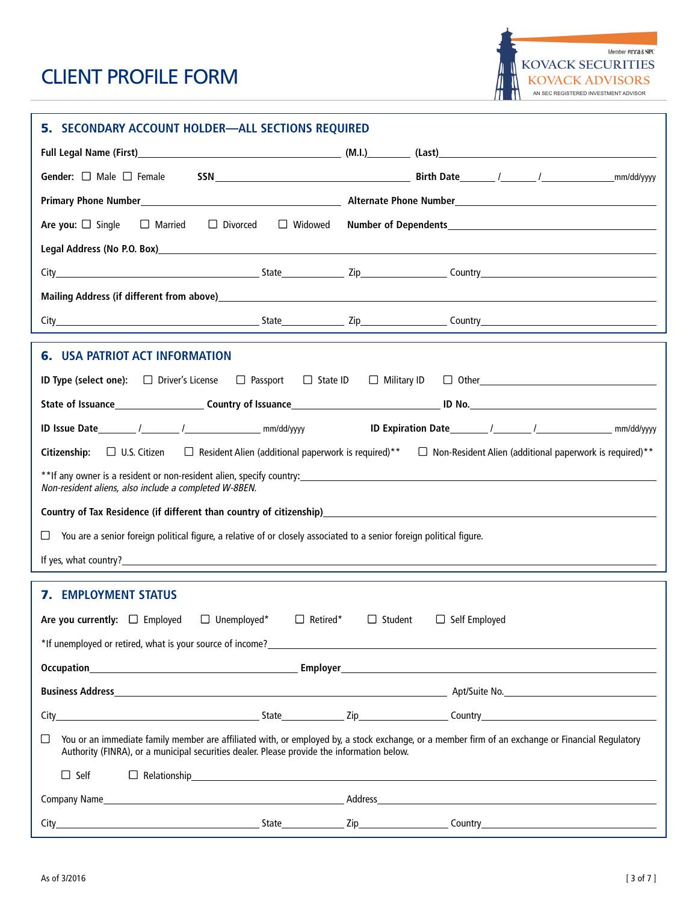| 5. SECONDARY ACCOUNT HOLDER-ALL SECTIONS REQUIRED                                                                                                                                                                                                        |  |                                                                |  |  |
|----------------------------------------------------------------------------------------------------------------------------------------------------------------------------------------------------------------------------------------------------------|--|----------------------------------------------------------------|--|--|
|                                                                                                                                                                                                                                                          |  |                                                                |  |  |
| Gender: $\Box$ Male $\Box$ Female                                                                                                                                                                                                                        |  | mm/dd/yyyy                                                     |  |  |
| Primary Phone Number Number Number Number Number Number Number Number Number Number Number Number Number Number                                                                                                                                          |  |                                                                |  |  |
| $\Box$ Divorced<br>$\Box$ Widowed<br>Are you: $\Box$ Single<br>$\Box$ Married                                                                                                                                                                            |  |                                                                |  |  |
| Legal Address (No P.O. Box) and the contract of the contract of the contract of the contract of the contract of the contract of the contract of the contract of the contract of the contract of the contract of the contract o                           |  |                                                                |  |  |
|                                                                                                                                                                                                                                                          |  |                                                                |  |  |
| Mailing Address (if different from above) which is a state of the control of the control of the control of the control of the control of the control of the control of the control of the control of the control of the contro                           |  |                                                                |  |  |
|                                                                                                                                                                                                                                                          |  |                                                                |  |  |
|                                                                                                                                                                                                                                                          |  |                                                                |  |  |
| <b>6. USA PATRIOT ACT INFORMATION</b>                                                                                                                                                                                                                    |  |                                                                |  |  |
| $\Box$ Passport $\Box$ State ID<br><b>ID Type (select one):</b> $\Box$ Driver's License                                                                                                                                                                  |  | $\Box$ Military ID $\Box$ Other                                |  |  |
|                                                                                                                                                                                                                                                          |  |                                                                |  |  |
|                                                                                                                                                                                                                                                          |  |                                                                |  |  |
| $\Box$ Resident Alien (additional paperwork is required)**<br><b>Citizenship:</b> $\Box$ U.S. Citizen                                                                                                                                                    |  | $\Box$ Non-Resident Alien (additional paperwork is required)** |  |  |
| **If any owner is a resident or non-resident alien, specify country:<br>**If any owner is a resident or non-resident alien, specify country:<br>Non-resident aliens, also include a completed W-8BEN.                                                    |  |                                                                |  |  |
| Country of Tax Residence (if different than country of citizenship) <b>Country Country of Tax Residence</b> (if different than country of citizenship) <b>Country Country Country Country Country Country Country Country Country Cou</b>                |  |                                                                |  |  |
| You are a senior foreign political figure, a relative of or closely associated to a senior foreign political figure.                                                                                                                                     |  |                                                                |  |  |
| If yes, what country? The control of the control of the control of the control of the control of the control of the control of the control of the control of the control of the control of the control of the control of the c                           |  |                                                                |  |  |
| <b>7. EMPLOYMENT STATUS</b>                                                                                                                                                                                                                              |  |                                                                |  |  |
| Are you currently: $\square$ Employed<br>$\Box$ Unemployed*<br>$\Box$ Retired*<br>$\Box$ Student<br>$\Box$ Self Employed                                                                                                                                 |  |                                                                |  |  |
| *If unemployed or retired, what is your source of income?<br>The same state of the state of the state of the state of the state of the state of the state of the state of the state of the state of the state of the state of th                         |  |                                                                |  |  |
|                                                                                                                                                                                                                                                          |  |                                                                |  |  |
|                                                                                                                                                                                                                                                          |  |                                                                |  |  |
|                                                                                                                                                                                                                                                          |  |                                                                |  |  |
| You or an immediate family member are affiliated with, or employed by, a stock exchange, or a member firm of an exchange or Financial Regulatory<br>$\Box$<br>Authority (FINRA), or a municipal securities dealer. Please provide the information below. |  |                                                                |  |  |
| $\Box$ Self<br>$\Box$ Relationship $\Box$                                                                                                                                                                                                                |  |                                                                |  |  |
| Company Name Company Name                                                                                                                                                                                                                                |  |                                                                |  |  |
|                                                                                                                                                                                                                                                          |  |                                                                |  |  |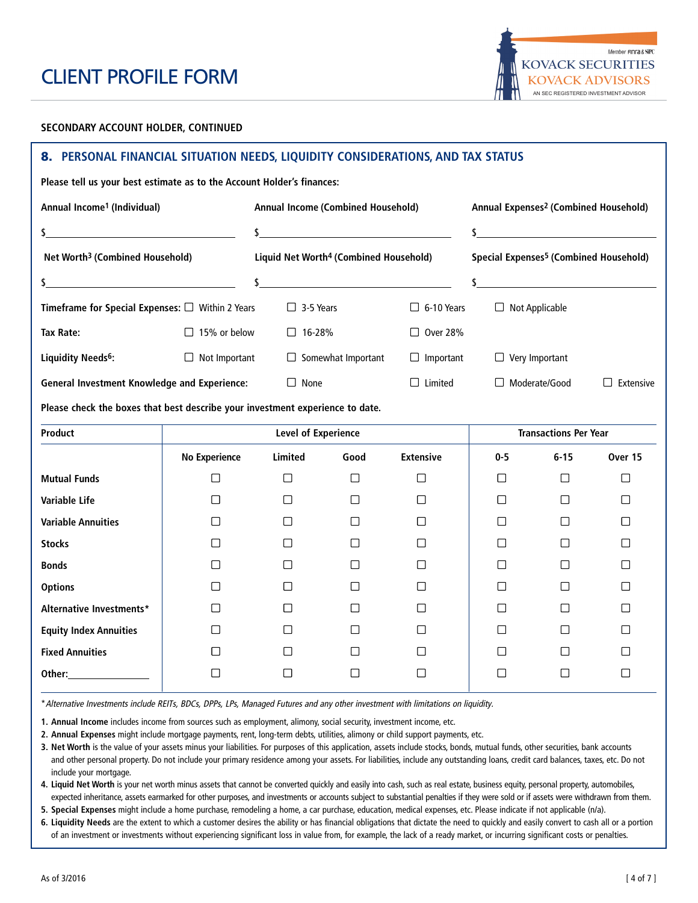

#### **SECONDARY ACCOUNT HOLDER, CONTINUED**

## **8. PERSONAL FINANCIAL SITUATION NEEDS, LIQUIDITY CONSIDERATIONS, AND TAX STATUS**

**Please tell us your best estimate as to the Account Holder's finances:**

| Annual Income <sup>1</sup> (Individual)                                       | Annual Income (Combined Household) |                            |                                                    | Annual Expenses <sup>2</sup> (Combined Household) |                                                    |                              |                                               |  |
|-------------------------------------------------------------------------------|------------------------------------|----------------------------|----------------------------------------------------|---------------------------------------------------|----------------------------------------------------|------------------------------|-----------------------------------------------|--|
| $\mathsf{s}$                                                                  |                                    | $\sim$                     |                                                    |                                                   |                                                    |                              |                                               |  |
| Net Worth <sup>3</sup> (Combined Household)                                   |                                    |                            | Liquid Net Worth <sup>4</sup> (Combined Household) |                                                   | Special Expenses <sup>5</sup> (Combined Household) |                              |                                               |  |
| \$<br><u> 1980 - Johann Barbara, martxa alemaniar a</u>                       |                                    |                            | $\sim$                                             |                                                   | \$                                                 |                              | <u> 1989 - Johann Stein, fransk politik (</u> |  |
| Timeframe for Special Expenses: $\Box$ Within 2 Years                         |                                    | $\Box$ 3-5 Years           |                                                    | $\Box$ 6-10 Years                                 | $\Box$ Not Applicable                              |                              |                                               |  |
| <b>Tax Rate:</b>                                                              | $\Box$ 15% or below                | $\Box$ 16-28%              |                                                    | $\Box$ Over 28%                                   |                                                    |                              |                                               |  |
| Liquidity Needs <sup>6</sup> :                                                | $\Box$ Not Important               |                            | $\Box$ Somewhat Important                          | $\Box$ Important                                  | $\Box$ Very Important                              |                              |                                               |  |
| <b>General Investment Knowledge and Experience:</b>                           |                                    | $\Box$ None                |                                                    | $\Box$ Limited                                    |                                                    | □ Moderate/Good              | $\Box$ Extensive                              |  |
| Please check the boxes that best describe your investment experience to date. |                                    |                            |                                                    |                                                   |                                                    |                              |                                               |  |
| Product                                                                       |                                    | <b>Level of Experience</b> |                                                    |                                                   |                                                    | <b>Transactions Per Year</b> |                                               |  |
|                                                                               | <b>No Experience</b>               | <b>Limited</b>             | Good                                               | <b>Extensive</b>                                  | $0 - 5$                                            | $6 - 15$                     | Over 15                                       |  |
| <b>Mutual Funds</b>                                                           | □                                  | $\Box$                     | $\Box$                                             | □                                                 | $\Box$                                             | $\Box$                       | □                                             |  |
| Variable Life                                                                 | $\Box$                             | $\Box$                     | $\Box$                                             | □                                                 | $\Box$                                             | $\Box$                       | $\Box$                                        |  |
| <b>Variable Annuities</b>                                                     | □                                  | $\Box$                     | П                                                  | П                                                 | $\Box$                                             | $\Box$                       | П                                             |  |
| <b>Stocks</b>                                                                 | П                                  | $\perp$                    | $\perp$                                            | $\mathsf{L}$                                      | □                                                  | П                            | $\mathsf{I}$                                  |  |
| <b>Bonds</b>                                                                  | $\Box$                             | П                          | П                                                  | П                                                 | $\Box$                                             | П                            | □                                             |  |
| <b>Options</b>                                                                | □                                  | □                          | П                                                  | ⊓                                                 | □                                                  | П                            | □                                             |  |
| Alternative Investments*                                                      | П                                  | П                          | П                                                  | П                                                 | П                                                  | П                            | П                                             |  |
| <b>Equity Index Annuities</b>                                                 | $\Box$                             | □                          | П                                                  | $\Box$                                            | П                                                  | П                            | □                                             |  |
|                                                                               |                                    |                            |                                                    |                                                   |                                                    |                              |                                               |  |
| <b>Fixed Annuities</b>                                                        | П                                  | П                          | П                                                  | П                                                 | П                                                  | П                            | $\mathsf{L}$                                  |  |

\*Alternative Investments include REITs, BDCs, DPPs, LPs, Managed Futures and any other investment with limitations on liquidity.

**1. Annual Income** includes income from sources such as employment, alimony, social security, investment income, etc.

**2. Annual Expenses** might include mortgage payments, rent, long-term debts, utilities, alimony or child support payments, etc.

**3. Net Worth** is the value of your assets minus your liabilities. For purposes of this application, assets include stocks, bonds, mutual funds, other securities, bank accounts and other personal property. Do not include your primary residence among your assets. For liabilities, include any outstanding loans, credit card balances, taxes, etc. Do not include your mortgage.

**4. Liquid Net Worth** is your net worth minus assets that cannot be converted quickly and easily into cash, such as real estate, business equity, personal property, automobiles, expected inheritance, assets earmarked for other purposes, and investments or accounts subject to substantial penalties if they were sold or if assets were withdrawn from them.

**5. Special Expenses** might include a home purchase, remodeling a home, a car purchase, education, medical expenses, etc. Please indicate if not applicable (n/a).

**6. Liquidity Needs** are the extent to which a customer desires the ability or has financial obligations that dictate the need to quickly and easily convert to cash all or a portion of an investment or investments without experiencing significant loss in value from, for example, the lack of a ready market, or incurring significant costs or penalties.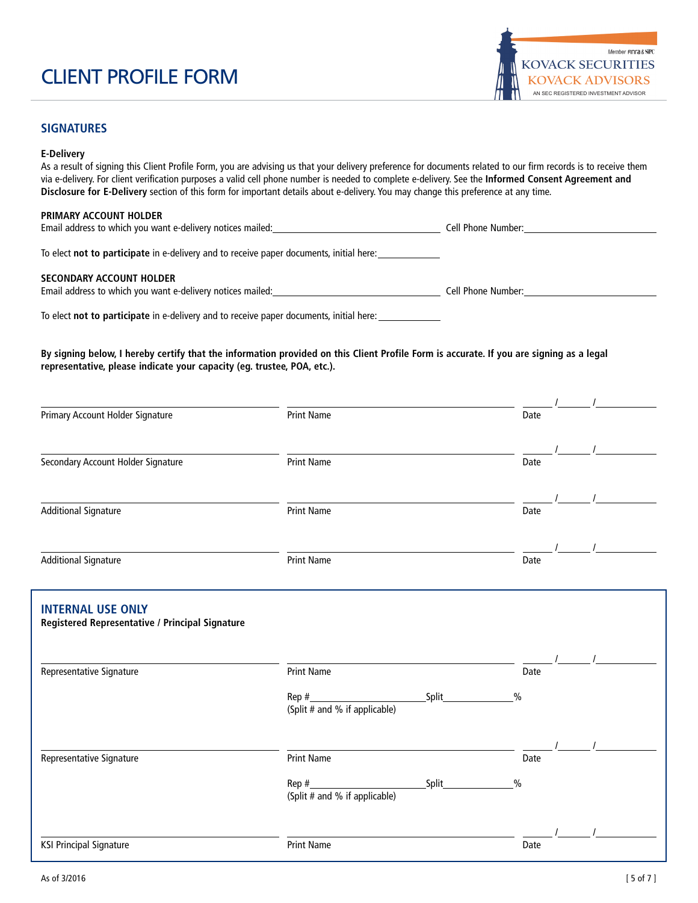

## **SIGNATURES**

#### **E-Delivery**

As a result of signing this Client Profile Form, you are advising us that your delivery preference for documents related to our firm records is to receive them via e-delivery. For client verification purposes a valid cell phone number is needed to complete e-delivery. See the **Informed Consent Agreement and Disclosure for E-Delivery** section of this form for important details about e-delivery. You may change this preference at any time.

#### **PRIMARY ACCOUNT HOLDER**

| Email address to which you want e-delivery notices mailed:<br>Lell Phone<br>: Number |  |  |  |
|--------------------------------------------------------------------------------------|--|--|--|
|--------------------------------------------------------------------------------------|--|--|--|

To elect **not to participate** in e-delivery and to receive paper documents, initial here:

#### **SECONDARY ACCOUNT HOLDER**

| Email address to which you want e-delivery notices mailed: | Cell Phone Number |  |
|------------------------------------------------------------|-------------------|--|
|                                                            |                   |  |

To elect **not to participate** in e-delivery and to receive paper documents, initial here:

**By signing below, I hereby certify that the information provided on this Client Profile Form is accurate. If you are signing as a legal representative, please indicate your capacity (eg. trustee, POA, etc.).**

| Primary Account Holder Signature                                            | <b>Print Name</b>                                            | Date                   |
|-----------------------------------------------------------------------------|--------------------------------------------------------------|------------------------|
| Secondary Account Holder Signature                                          | <b>Print Name</b>                                            | Date                   |
| <b>Additional Signature</b>                                                 | <b>Print Name</b>                                            | Date                   |
| <b>Additional Signature</b>                                                 | <b>Print Name</b>                                            | Date                   |
| <b>INTERNAL USE ONLY</b><br>Registered Representative / Principal Signature |                                                              |                        |
| Representative Signature                                                    | <b>Print Name</b>                                            | Date                   |
|                                                                             | Split<br>(Split # and % if applicable)                       | $\frac{0}{0}$          |
| Representative Signature                                                    | <b>Print Name</b>                                            | Date                   |
|                                                                             | $\mathsf{Rep}\ \text{\#}\_$<br>(Split # and % if applicable) | Split<br>$\frac{0}{0}$ |
| <b>KSI Principal Signature</b>                                              | <b>Print Name</b>                                            | Date                   |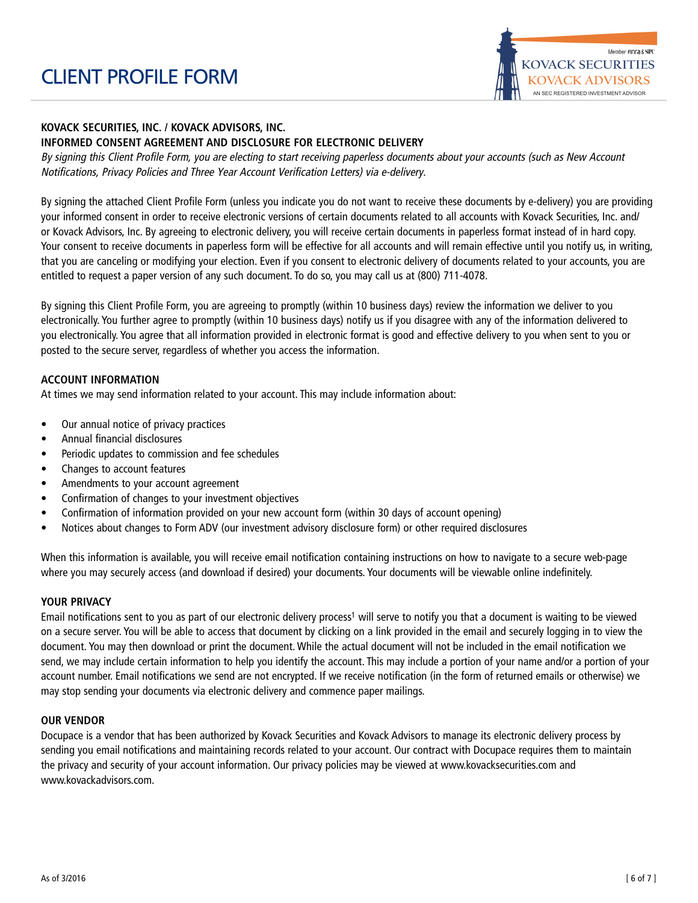

## **KOVACK SECURITIES, INC. / KOVACK ADVISORS, INC. INFORMED CONSENT AGREEMENT AND DISCLOSURE FOR ELECTRONIC DELIVERY**

By signing this Client Profile Form, you are electing to start receiving paperless documents about your accounts (such as New Account Notifications, Privacy Policies and Three Year Account Verification Letters) via e-delivery.

By signing the attached Client Profile Form (unless you indicate you do not want to receive these documents by e-delivery) you are providing your informed consent in order to receive electronic versions of certain documents related to all accounts with Kovack Securities, Inc. and/ or Kovack Advisors, Inc. By agreeing to electronic delivery, you will receive certain documents in paperless format instead of in hard copy. Your consent to receive documents in paperless form will be effective for all accounts and will remain effective until you notify us, in writing, that you are canceling or modifying your election. Even if you consent to electronic delivery of documents related to your accounts, you are entitled to request a paper version of any such document. To do so, you may call us at (800) 711-4078.

By signing this Client Profile Form, you are agreeing to promptly (within 10 business days) review the information we deliver to you electronically. You further agree to promptly (within 10 business days) notify us if you disagree with any of the information delivered to you electronically. You agree that all information provided in electronic format is good and effective delivery to you when sent to you or posted to the secure server, regardless of whether you access the information.

## **ACCOUNT INFORMATION**

At times we may send information related to your account. This may include information about:

- Our annual notice of privacy practices
- Annual financial disclosures
- Periodic updates to commission and fee schedules
- Changes to account features
- Amendments to your account agreement
- Confirmation of changes to your investment objectives
- Confirmation of information provided on your new account form (within 30 days of account opening)
- Notices about changes to Form ADV (our investment advisory disclosure form) or other required disclosures

When this information is available, you will receive email notification containing instructions on how to navigate to a secure web-page where you may securely access (and download if desired) your documents. Your documents will be viewable online indefinitely.

### **YOUR PRIVACY**

Email notifications sent to you as part of our electronic delivery process<sup>1</sup> will serve to notify you that a document is waiting to be viewed on a secure server. You will be able to access that document by clicking on a link provided in the email and securely logging in to view the document. You may then download or print the document. While the actual document will not be included in the email notification we send, we may include certain information to help you identify the account. This may include a portion of your name and/or a portion of your account number. Email notifications we send are not encrypted. If we receive notification (in the form of returned emails or otherwise) we may stop sending your documents via electronic delivery and commence paper mailings.

### **OUR VENDOR**

Docupace is a vendor that has been authorized by Kovack Securities and Kovack Advisors to manage its electronic delivery process by sending you email notifications and maintaining records related to your account. Our contract with Docupace requires them to maintain the privacy and security of your account information. Our privacy policies may be viewed at www.kovacksecurities.com and www.kovackadvisors.com.